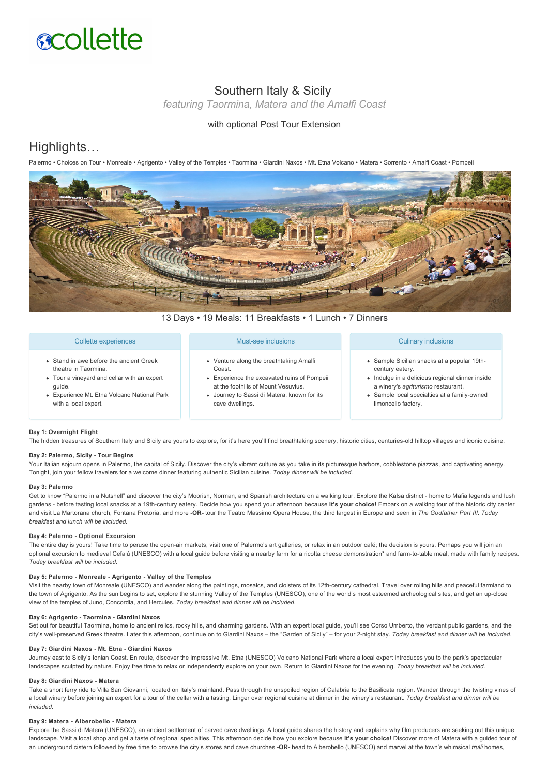

# Southern Italy & Sicily

*featuring Taormina, Matera and the Amalfi Coast*

## with optional Post Tour Extension

## Highlights…

Palermo • Choices on Tour • Monreale • Agrigento • Valley of the Temples • Taormina • Giardini Naxos • Mt. Etna Volcano • Matera • Sorrento • Amalfi Coast • Pompeii



13 Days • 19 Meals: 11 Breakfasts • 1 Lunch • 7 Dinners

## Collette experiences

- Stand in awe before the ancient Greek theatre in Taormina.
- Tour a vineyard and cellar with an expert guide.
- Experience Mt. Etna Volcano National Park with a local expert.

## Must-see inclusions

- Venture along the breathtaking Amalfi Coast.
- Experience the excavated ruins of Pompeii at the foothills of Mount Vesuvius.
- Journey to Sassi di Matera, known for its cave dwellings.

## Culinary inclusions

- Sample Sicilian snacks at a popular 19thcentury eatery.
- Indulge in a delicious regional dinner inside a winery's *agriturismo* restaurant.
- Sample local specialties at a family-owned limoncello factory.

## **Day 1: Overnight Flight**

The hidden treasures of Southern Italy and Sicily are yours to explore, for it's here you'll find breathtaking scenery, historic cities, centuries-old hilltop villages and iconic cuisine.

## Day 2: Palermo, Sicily - Tour Begins

Your Italian sojourn opens in Palermo, the capital of Sicily. Discover the city's vibrant culture as you take in its picturesque harbors, cobblestone piazzas, and captivating energy. Tonight, join your fellow travelers for a welcome dinner featuring authentic Sicilian cuisine. *Today dinner will be included.*

#### **Day 3: Palermo**

Get to know "Palermo in a Nutshell" and discover the city's Moorish, Norman, and Spanish architecture on a walking tour. Explore the Kalsa district - home to Mafia legends and lush gardens - before tasting local snacks at a 19th-century eatery. Decide how you spend your afternoon because it's your choice! Embark on a walking tour of the historic city center and visit La Martorana church, Fontana Pretoria, and more **OR** tour the Teatro Massimo Opera House, the third largest in Europe and seen in *The Godfather Part III*. *Today breakfast and lunch will be included.*

#### **Day 4: Palermo - Optional Excursion**

The entire day is yours! Take time to peruse the open-air markets, visit one of Palermo's art galleries, or relax in an outdoor café; the decision is yours. Perhaps you will join an optional excursion to medieval Cefalù (UNESCO) with a local guide before visiting a nearby farm for a ricotta cheese demonstration\* and farm-to-table meal, made with family recipes. *Today breakfast will be included.*

#### Day 5: Palermo - Monreale - Agrigento - Valley of the Temples

Visit the nearby town of Monreale (UNESCO) and wander along the paintings, mosaics, and cloisters of its 12th-century cathedral. Travel over rolling hills and peaceful farmland to the town of Agrigento. As the sun begins to set, explore the stunning Valley of the Temples (UNESCO), one of the world's most esteemed archeological sites, and get an up-close view of the temples of Juno, Concordia, and Hercules. *Today breakfast and dinner will be included.*

#### Day 6: Agrigento - Taormina - Giardini Naxos

Set out for beautiful Taormina, home to ancient relics, rocky hills, and charming gardens. With an expert local guide, you'll see Corso Umberto, the verdant public gardens, and the city's well-preserved Greek theatre. Later this afternoon, continue on to Giardini Naxos – the "Garden of Sicily" – for your 2-night stay. *Today breakfast and dinner will be included.* 

## Day 7: Giardini Naxos - Mt. Etna - Giardini Naxos

Journey east to Sicily's Ionian Coast. En route, discover the impressive Mt. Etna (UNESCO) Volcano National Park where a local expert introduces you to the park's spectacular landscapes sculpted by nature. Enjoy free time to relax or independently explore on your own. Return to Giardini Naxos for the evening. *Today breakfast will be included.*

#### Day 8: Giardini Naxos - Matera

Take a short ferry ride to Villa San Giovanni, located on Italy's mainland. Pass through the unspoiled region of Calabria to the Basilicata region. Wander through the twisting vines of a local winery before joining an expert for a tour of the cellar with a tasting. Linger over regional cuisine at dinner in the winery's restaurant. *Today breakfast and dinner will be included.*

## Day 9: Matera - Alberobello - Matera

Explore the Sassi di Matera (UNESCO), an ancient settlement of carved cave dwellings. A local guide shares the history and explains why film producers are seeking out this unique landscape. Visit a local shop and get a taste of regional specialties. This afternoon decide how you explore because **it's your choice!** Discover more of Matera with a guided tour of an underground cistern followed by free time to browse the city's stores and cave churches **OR** head to Alberobello (UNESCO) and marvel at the town's whimsical *trulli* homes,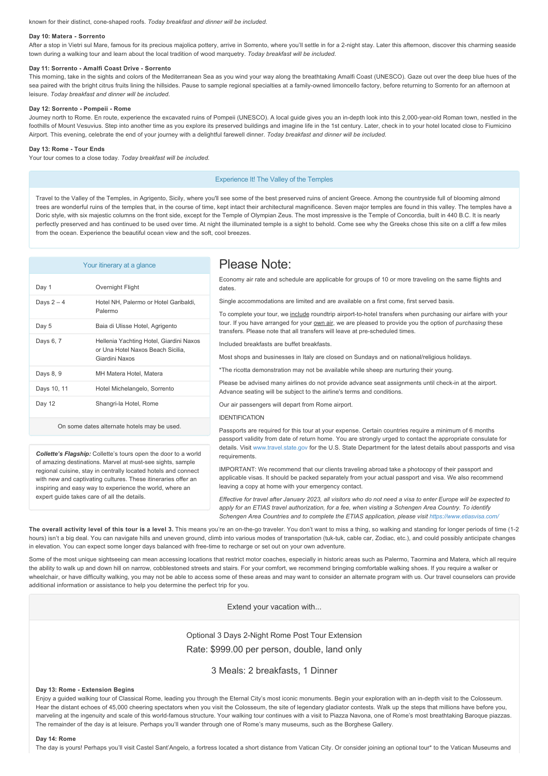known for their distinct, coneshaped roofs. *Today breakfast and dinner will be included.*

#### Day 10: Matera - Sorrento

After a stop in Vietri sul Mare, famous for its precious majolica pottery, arrive in Sorrento, where you'll settle in for a 2-night stay. Later this afternoon, discover this charming seaside town during a walking tour and learn about the local tradition of wood marquetry. *Today breakfast will be included.*

#### Day 11: Sorrento - Amalfi Coast Drive - Sorrento

This morning, take in the sights and colors of the Mediterranean Sea as you wind your way along the breathtaking Amalfi Coast (UNESCO). Gaze out over the deep blue hues of the sea paired with the bright citrus fruits lining the hillsides. Pause to sample regional specialties at a family-owned limoncello factory, before returning to Sorrento for an afternoon at leisure. *Today breakfast and dinner will be included.*

#### Day 12: Sorrento - Pompeii - Rome

Journey north to Rome. En route, experience the excavated ruins of Pompeii (UNESCO). A local guide gives you an in-depth look into this 2,000-year-old Roman town, nestled in the foothills of Mount Vesuvius. Step into another time as you explore its preserved buildings and imagine life in the 1st century. Later, check in to your hotel located close to Fiumicino Airport. This evening, celebrate the end of your journey with a delightful farewell dinner. *Today breakfast and dinner will be included.*

#### Day 13: Rome - Tour Ends

Your tour comes to a close today. *Today breakfast will be included.*

## Experience It! The Valley of the Temples

Travel to the Valley of the Temples, in Agrigento, Sicily, where you'll see some of the best preserved ruins of ancient Greece. Among the countryside full of blooming almond trees are wonderful ruins of the temples that, in the course of time, kept intact their architectural magnificence. Seven major temples are found in this valley. The temples have a Doric style, with six majestic columns on the front side, except for the Temple of Olympian Zeus. The most impressive is the Temple of Concordia, built in 440 B.C. It is nearly perfectly preserved and has continued to be used over time. At night the illuminated temple is a sight to behold. Come see why the Greeks chose this site on a cliff a few miles from the ocean. Experience the beautiful ocean view and the soft, cool breezes.

| Your itinerary at a glance                  |                                                                                                | Please Note:                                                                                                                                                                                                                                                                                                                                                                                                                                                                                                                                                                                                                                                                                                                                                                                                                      |
|---------------------------------------------|------------------------------------------------------------------------------------------------|-----------------------------------------------------------------------------------------------------------------------------------------------------------------------------------------------------------------------------------------------------------------------------------------------------------------------------------------------------------------------------------------------------------------------------------------------------------------------------------------------------------------------------------------------------------------------------------------------------------------------------------------------------------------------------------------------------------------------------------------------------------------------------------------------------------------------------------|
| Day 1                                       | Overnight Flight                                                                               | Economy air rate and schedule are applicable for groups of 10 or more traveling on the same flights and<br>dates.                                                                                                                                                                                                                                                                                                                                                                                                                                                                                                                                                                                                                                                                                                                 |
| Days $2-4$                                  | Hotel NH, Palermo or Hotel Garibaldi,<br>Palermo                                               | Single accommodations are limited and are available on a first come, first served basis.<br>To complete your tour, we include roundtrip airport-to-hotel transfers when purchasing our airfare with your<br>tour. If you have arranged for your own air, we are pleased to provide you the option of purchasing these<br>transfers. Please note that all transfers will leave at pre-scheduled times.<br>Included breakfasts are buffet breakfasts.<br>Most shops and businesses in Italy are closed on Sundays and on national/religious holidays.<br>*The ricotta demonstration may not be available while sheep are nurturing their young.<br>Please be advised many airlines do not provide advance seat assignments until check-in at the airport.<br>Advance seating will be subject to the airline's terms and conditions. |
| Day 5                                       | Baia di Ulisse Hotel, Agrigento                                                                |                                                                                                                                                                                                                                                                                                                                                                                                                                                                                                                                                                                                                                                                                                                                                                                                                                   |
| Days 6, 7                                   | Hellenia Yachting Hotel, Giardini Naxos<br>or Una Hotel Naxos Beach Sicilia,<br>Giardini Naxos |                                                                                                                                                                                                                                                                                                                                                                                                                                                                                                                                                                                                                                                                                                                                                                                                                                   |
| Days 8, 9                                   | MH Matera Hotel, Matera                                                                        |                                                                                                                                                                                                                                                                                                                                                                                                                                                                                                                                                                                                                                                                                                                                                                                                                                   |
| Days 10, 11                                 | Hotel Michelangelo, Sorrento                                                                   |                                                                                                                                                                                                                                                                                                                                                                                                                                                                                                                                                                                                                                                                                                                                                                                                                                   |
| Day 12                                      | Shangri-la Hotel, Rome                                                                         | Our air passengers will depart from Rome airport.                                                                                                                                                                                                                                                                                                                                                                                                                                                                                                                                                                                                                                                                                                                                                                                 |
| On some dates alternate hotels may be used. |                                                                                                | <b>IDENTIFICATION</b><br>Passports are required for this tour at your expense. Certain countries require a minimum of 6 months<br>passport validity from date of return home. You are strongly urged to contact the appropriate consulate for<br>details. Visit www.traval.etch.cov.for the U.C. Ctote Department for the letect details about perspects and vio                                                                                                                                                                                                                                                                                                                                                                                                                                                                  |

*Collette's Flagship:* Collette's tours open the door to a world of amazing destinations. Marvel at must-see sights, sample regional cuisine, stay in centrally located hotels and connect with new and captivating cultures. These itineraries offer an inspiring and easy way to experience the world, where an expert guide takes care of all the details.

gov for the U.S. State Department for the latest details about passports and visa requirements.

IMPORTANT: We recommend that our clients traveling abroad take a photocopy of their passport and applicable visas. It should be packed separately from your actual passport and visa. We also recommend leaving a copy at home with your emergency contact.

*Effective for travel after January 2023, all visitors who do not need a visa to enter Europe will be expected to apply for an ETIAS travel authorization, for a fee, when visiting a Schengen Area Country. To identify Schengen Area Countries and to complete the ETIAS application, please visit<https://www.etiasvisa.com/>*

The overall activity level of this tour is a level 3. This means you're an on-the-go traveler. You don't want to miss a thing, so walking and standing for longer periods of time (1-2 hours) isn't a big deal. You can navigate hills and uneven ground, climb into various modes of transportation (tuk-tuk, cable car, Zodiac, etc.), and could possibly anticipate changes in elevation. You can expect some longer days balanced with free-time to recharge or set out on your own adventure.

Some of the most unique sightseeing can mean accessing locations that restrict motor coaches, especially in historic areas such as Palermo, Taormina and Matera, which all require the ability to walk up and down hill on narrow, cobblestoned streets and stairs. For your comfort, we recommend bringing comfortable walking shoes. If you require a walker or wheelchair, or have difficulty walking, you may not be able to access some of these areas and may want to consider an alternate program with us. Our travel counselors can provide additional information or assistance to help you determine the perfect trip for you.

Extend your vacation with...

Optional 3 Days 2-Night Rome Post Tour Extension Rate: \$999.00 per person, double, land only

3 Meals: 2 breakfasts, 1 Dinner

## **Day 13: Rome Extension Begins**

Enjoy a guided walking tour of Classical Rome, leading you through the Eternal City's most iconic monuments. Begin your exploration with an in-depth visit to the Colosseum. Hear the distant echoes of 45,000 cheering spectators when you visit the Colosseum, the site of legendary gladiator contests. Walk up the steps that millions have before you, marveling at the ingenuity and scale of this world-famous structure. Your walking tour continues with a visit to Piazza Navona, one of Rome's most breathtaking Baroque piazzas. The remainder of the day is at leisure. Perhaps you'll wander through one of Rome's many museums, such as the Borghese Gallery.

### **Day 14: Rome**

The day is yours! Perhaps you'll visit Castel Sant'Angelo, a fortress located a short distance from Vatican City. Or consider joining an optional tour\* to the Vatican Museums and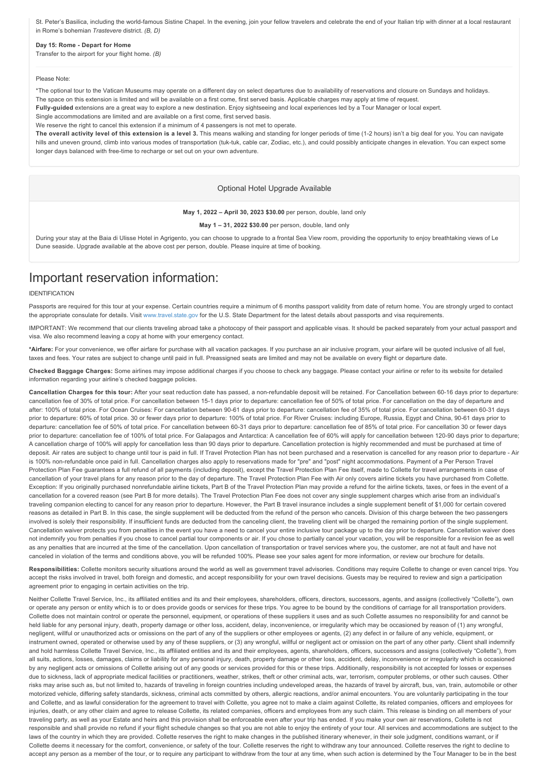St. Peter's Basilica, including the world-famous Sistine Chapel. In the evening, join your fellow travelers and celebrate the end of your Italian trip with dinner at a local restaurant in Rome's bohemian *Trastevere* district. *(B, D)*

## Day 15: Rome - Depart for Home

Transfer to the airport for your flight home. *(B)*

#### Please Note:

\*The optional tour to the Vatican Museums may operate on a different day on select departures due to availability of reservations and closure on Sundays and holidays.

The space on this extension is limited and will be available on a first come, first served basis. Applicable charges may apply at time of request.

Fully-guided extensions are a great way to explore a new destination. Enjoy sightseeing and local experiences led by a Tour Manager or local expert.

Single accommodations are limited and are available on a first come, first served basis.

We reserve the right to cancel this extension if a minimum of 4 passengers is not met to operate.

**The overall activity level of this extension is a level 3.** This means walking and standing for longer periods of time (12 hours) isn't a big deal for you. You can navigate hills and uneven ground, climb into various modes of transportation (tuk-tuk, cable car, Zodiac, etc.), and could possibly anticipate changes in elevation. You can expect some longer days balanced with free-time to recharge or set out on your own adventure.

## Optional Hotel Upgrade Available

#### **May 1, 2022 – April 30, 2023 \$30.00** per person, double, land only

**May 1 – 31, 2022 \$30.00** per person, double, land only

During your stay at the Baia di Ulisse Hotel in Agrigento, you can choose to upgrade to a frontal Sea View room, providing the opportunity to enjoy breathtaking views of Le Dune seaside. Upgrade available at the above cost per person, double. Please inquire at time of booking.

# Important reservation information:

## IDENTIFICATION

Passports are required for this tour at your expense. Certain countries require a minimum of 6 months passport validity from date of return home. You are strongly urged to contact the appropriate consulate for details. Visit [www.travel.state.gov](https://itinerary.collette.com/Documents/Flyer/14173/USD/www.travel.state.gov) for the U.S. State Department for the latest details about passports and visa requirements.

IMPORTANT: We recommend that our clients traveling abroad take a photocopy of their passport and applicable visas. It should be packed separately from your actual passport and visa. We also recommend leaving a copy at home with your emergency contact.

**\*Airfare:** For your convenience, we offer airfare for purchase with all vacation packages. If you purchase an air inclusive program, your airfare will be quoted inclusive of all fuel, taxes and fees. Your rates are subject to change until paid in full. Preassigned seats are limited and may not be available on every flight or departure date.

**Checked Baggage Charges:** Some airlines may impose additional charges if you choose to check any baggage. Please contact your airline or refer to its website for detailed information regarding your airline's checked baggage policies.

Cancellation Charges for this tour: After your seat reduction date has passed, a non-refundable deposit will be retained. For Cancellation between 60-16 days prior to departure: cancellation fee of 30% of total price. For cancellation between 15-1 days prior to departure: cancellation fee of 50% of total price. For cancellation on the day of departure and after: 100% of total price. For Ocean Cruises: For cancellation between 90-61 days prior to departure: cancellation fee of 35% of total price. For cancellation between 60-31 days prior to departure: 60% of total price. 30 or fewer days prior to departure: 100% of total price. For River Cruises: including Europe, Russia, Egypt and China, 90-61 days prior to departure: cancellation fee of 50% of total price. For cancellation between 6031 days prior to departure: cancellation fee of 85% of total price. For cancellation 30 or fewer days prior to departure: cancellation fee of 100% of total price. For Galapagos and Antarctica: A cancellation fee of 60% will apply for cancellation between 120-90 days prior to departure; A cancellation charge of 100% will apply for cancellation less than 90 days prior to departure. Cancellation protection is highly recommended and must be purchased at time of deposit. Air rates are subject to change until tour is paid in full. If Travel Protection Plan has not been purchased and a reservation is cancelled for any reason prior to departure - Air is 100% non-refundable once paid in full. Cancellation charges also apply to reservations made for "pre" and "post" night accommodations. Payment of a Per Person Travel Protection Plan Fee guarantees a full refund of all payments (including deposit), except the Travel Protection Plan Fee itself, made to Collette for travel arrangements in case of cancellation of your travel plans for any reason prior to the day of departure. The Travel Protection Plan Fee with Air only covers airline tickets you have purchased from Collette. Exception: If vou originally purchased nonrefundable airline tickets, Part B of the Travel Protection Plan may provide a refund for the airline tickets, taxes, or fees in the event of a cancellation for a covered reason (see Part B for more details). The Travel Protection Plan Fee does not cover any single supplement charges which arise from an individual's traveling companion electing to cancel for any reason prior to departure. However, the Part B travel insurance includes a single supplement benefit of \$1,000 for certain covered reasons as detailed in Part B. In this case, the single supplement will be deducted from the refund of the person who cancels. Division of this charge between the two passengers involved is solely their responsibility. If insufficient funds are deducted from the canceling client, the traveling client will be charged the remaining portion of the single supplement. Cancellation waiver protects you from penalties in the event you have a need to cancel your entire inclusive tour package up to the day prior to departure. Cancellation waiver does not indemnify you from penalties if you chose to cancel partial tour components or air. If you chose to partially cancel your vacation, you will be responsible for a revision fee as well as any penalties that are incurred at the time of the cancellation. Upon cancellation of transportation or travel services where you, the customer, are not at fault and have not canceled in violation of the terms and conditions above, you will be refunded 100%. Please see your sales agent for more information, or review our brochure for details.

Responsibilities: Collette monitors security situations around the world as well as government travel advisories. Conditions may require Collette to change or even cancel trips. You accept the risks involved in travel, both foreign and domestic, and accept responsibility for your own travel decisions. Guests may be required to review and sign a participation agreement prior to engaging in certain activities on the trip.

Neither Collette Travel Service, Inc., its affiliated entities and its and their employees, shareholders, officers, directors, successors, agents, and assigns (collectively "Collette"), own or operate any person or entity which is to or does provide goods or services for these trips. You agree to be bound by the conditions of carriage for all transportation providers. Collette does not maintain control or operate the personnel, equipment, or operations of these suppliers it uses and as such Collette assumes no responsibility for and cannot be held liable for any personal injury, death, property damage or other loss, accident, delay, inconvenience, or irregularity which may be occasioned by reason of (1) any wrongful, negligent, willful or unauthorized acts or omissions on the part of any of the suppliers or other employees or agents, (2) any defect in or failure of any vehicle, equipment, or instrument owned, operated or otherwise used by any of these suppliers, or (3) any wrongful, willful or negligent act or omission on the part of any other party. Client shall indemnify and hold harmless Collette Travel Service, Inc., its affiliated entities and its and their employees, agents, shareholders, officers, successors and assigns (collectively "Collette"), from all suits, actions, losses, damages, claims or liability for any personal injury, death, property damage or other loss, accident, delay, inconvenience or irregularity which is occasioned by any negligent acts or omissions of Collette arising out of any goods or services provided for this or these trips. Additionally, responsibility is not accepted for losses or expenses due to sickness, lack of appropriate medical facilities or practitioners, weather, strikes, theft or other criminal acts, war, terrorism, computer problems, or other such causes. Other risks may arise such as, but not limited to, hazards of traveling in foreign countries including undeveloped areas, the hazards of travel by aircraft, bus, van, train, automobile or other motorized vehicle, differing safety standards, sickness, criminal acts committed by others, allergic reactions, and/or animal encounters. You are voluntarily participating in the tour and Collette, and as lawful consideration for the agreement to travel with Collette, you agree not to make a claim against Collette, its related companies, officers and employees for injuries, death, or any other claim and agree to release Collette, its related companies, officers and employees from any such claim. This release is binding on all members of your traveling party, as well as your Estate and heirs and this provision shall be enforceable even after your trip has ended. If you make your own air reservations, Collette is not responsible and shall provide no refund if your flight schedule changes so that you are not able to enjoy the entirety of your tour. All services and accommodations are subject to the laws of the country in which they are provided. Collette reserves the right to make changes in the published itinerary whenever, in their sole judgment, conditions warrant, or if Collette deems it necessary for the comfort, convenience, or safety of the tour. Collette reserves the right to withdraw any tour announced. Collette reserves the right to decline to accept any person as a member of the tour, or to require any participant to withdraw from the tour at any time, when such action is determined by the Tour Manager to be in the best